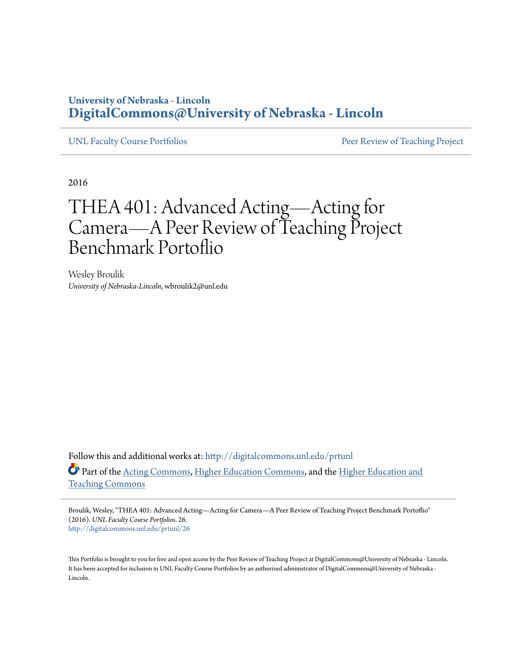## **University of Nebraska - Lincoln [DigitalCommons@University of Nebraska - Lincoln](http://digitalcommons.unl.edu?utm_source=digitalcommons.unl.edu%2Fprtunl%2F26&utm_medium=PDF&utm_campaign=PDFCoverPages)**

[UNL Faculty Course Portfolios](http://digitalcommons.unl.edu/prtunl?utm_source=digitalcommons.unl.edu%2Fprtunl%2F26&utm_medium=PDF&utm_campaign=PDFCoverPages) **[Peer Review of Teaching Project](http://digitalcommons.unl.edu/peerreviewteaching?utm_source=digitalcommons.unl.edu%2Fprtunl%2F26&utm_medium=PDF&utm_campaign=PDFCoverPages)** Peer Review of Teaching Project

2016

# THEA 401: Advanced Acting—Acting for Camera—A Peer Review of Teaching Project Benchmark Portoflio

Wesley Broulik *University of Nebraska-Lincoln*, wbroulik2@unl.edu

Follow this and additional works at: [http://digitalcommons.unl.edu/prtunl](http://digitalcommons.unl.edu/prtunl?utm_source=digitalcommons.unl.edu%2Fprtunl%2F26&utm_medium=PDF&utm_campaign=PDFCoverPages) Part of the [Acting Commons,](http://network.bepress.com/hgg/discipline/1145?utm_source=digitalcommons.unl.edu%2Fprtunl%2F26&utm_medium=PDF&utm_campaign=PDFCoverPages) [Higher Education Commons,](http://network.bepress.com/hgg/discipline/1245?utm_source=digitalcommons.unl.edu%2Fprtunl%2F26&utm_medium=PDF&utm_campaign=PDFCoverPages) and the [Higher Education and](http://network.bepress.com/hgg/discipline/806?utm_source=digitalcommons.unl.edu%2Fprtunl%2F26&utm_medium=PDF&utm_campaign=PDFCoverPages) [Teaching Commons](http://network.bepress.com/hgg/discipline/806?utm_source=digitalcommons.unl.edu%2Fprtunl%2F26&utm_medium=PDF&utm_campaign=PDFCoverPages)

Broulik, Wesley, "THEA 401: Advanced Acting—Acting for Camera—A Peer Review of Teaching Project Benchmark Portoflio" (2016). *UNL Faculty Course Portfolios*. 26. [http://digitalcommons.unl.edu/prtunl/26](http://digitalcommons.unl.edu/prtunl/26?utm_source=digitalcommons.unl.edu%2Fprtunl%2F26&utm_medium=PDF&utm_campaign=PDFCoverPages)

This Portfolio is brought to you for free and open access by the Peer Review of Teaching Project at DigitalCommons@University of Nebraska - Lincoln. It has been accepted for inclusion in UNL Faculty Course Portfolios by an authorized administrator of DigitalCommons@University of Nebraska -Lincoln.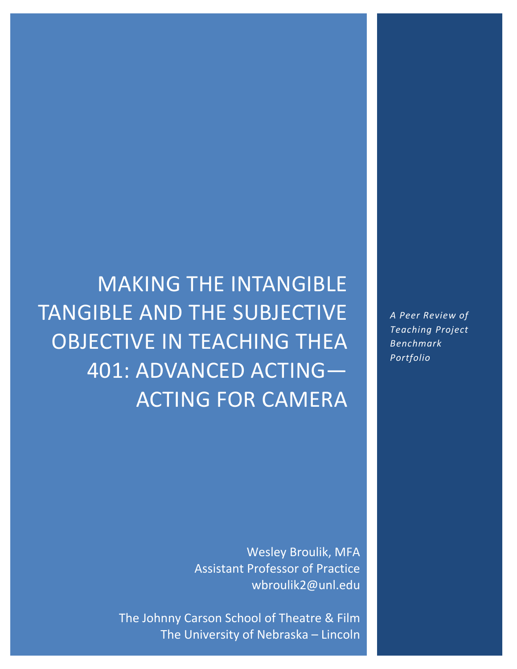MAKING THE INTANGIBLE TANGIBLE AND THE SUBJECTIVE OBJECTIVE IN TEACHING THEA 401: ADVANCED ACTING— ACTING FOR CAMERA

> Wesley Broulik, MFA Assistant Professor of Practice wbroulik2@unl.edu

The Johnny Carson School of Theatre & Film The University of Nebraska – Lincoln *A Peer Review of Teaching Project Benchmark Portfolio*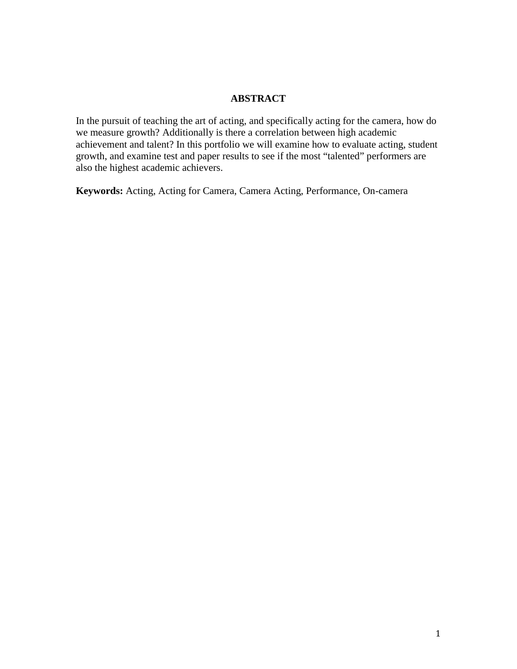### **ABSTRACT**

<span id="page-2-0"></span>In the pursuit of teaching the art of acting, and specifically acting for the camera, how do we measure growth? Additionally is there a correlation between high academic achievement and talent? In this portfolio we will examine how to evaluate acting, student growth, and examine test and paper results to see if the most "talented" performers are also the highest academic achievers.

**Keywords:** Acting, Acting for Camera, Camera Acting, Performance, On-camera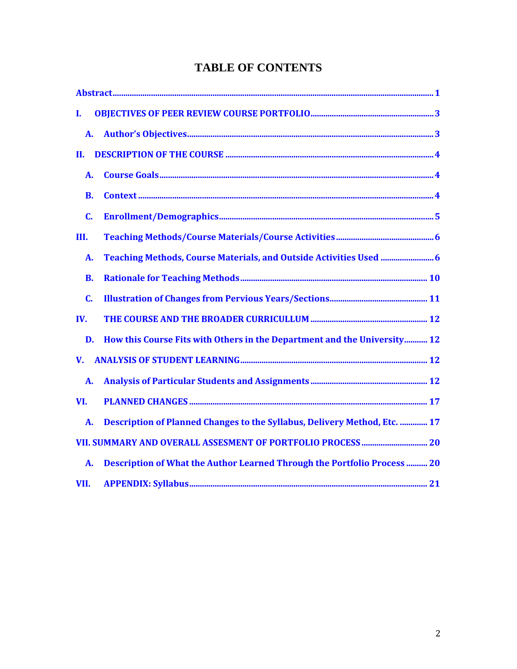# **TABLE OF CONTENTS**

| L         |                                                                                |  |
|-----------|--------------------------------------------------------------------------------|--|
| <b>A.</b> |                                                                                |  |
| II.       |                                                                                |  |
| А.        |                                                                                |  |
| <b>B.</b> |                                                                                |  |
| C.        |                                                                                |  |
| III.      |                                                                                |  |
| A.        |                                                                                |  |
| <b>B.</b> |                                                                                |  |
| C.        |                                                                                |  |
| IV.       |                                                                                |  |
|           | How this Course Fits with Others in the Department and the University 12<br>D. |  |
| V.        |                                                                                |  |
| A.        |                                                                                |  |
| VI.       |                                                                                |  |
| <b>A.</b> | Description of Planned Changes to the Syllabus, Delivery Method, Etc.  17      |  |
|           |                                                                                |  |
| A.        | Description of What the Author Learned Through the Portfolio Process  20       |  |
| VII.      |                                                                                |  |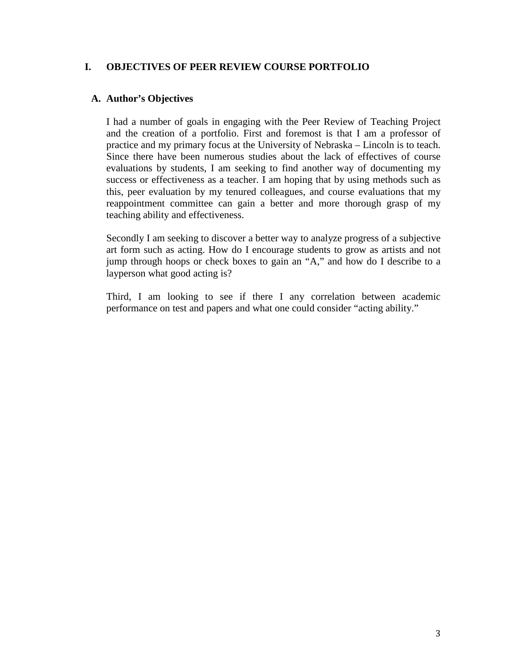### <span id="page-4-0"></span>**I. OBJECTIVES OF PEER REVIEW COURSE PORTFOLIO**

### <span id="page-4-1"></span>**A. Author's Objectives**

I had a number of goals in engaging with the Peer Review of Teaching Project and the creation of a portfolio. First and foremost is that I am a professor of practice and my primary focus at the University of Nebraska – Lincoln is to teach. Since there have been numerous studies about the lack of effectives of course evaluations by students, I am seeking to find another way of documenting my success or effectiveness as a teacher. I am hoping that by using methods such as this, peer evaluation by my tenured colleagues, and course evaluations that my reappointment committee can gain a better and more thorough grasp of my teaching ability and effectiveness.

Secondly I am seeking to discover a better way to analyze progress of a subjective art form such as acting. How do I encourage students to grow as artists and not jump through hoops or check boxes to gain an "A," and how do I describe to a layperson what good acting is?

Third, I am looking to see if there I any correlation between academic performance on test and papers and what one could consider "acting ability."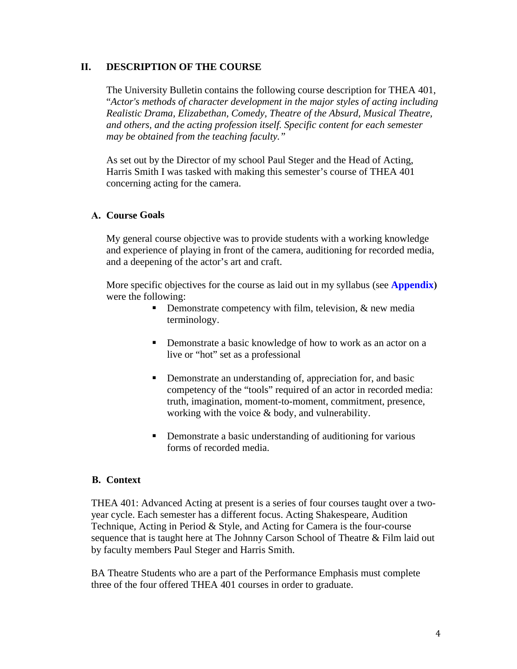### <span id="page-5-0"></span>**II. DESCRIPTION OF THE COURSE**

The University Bulletin contains the following course description for THEA 401, "*Actor's methods of character development in the major styles of acting including Realistic Drama, Elizabethan, Comedy, Theatre of the Absurd, Musical Theatre, and others, and the acting profession itself. Specific content for each semester may be obtained from the teaching faculty."*

As set out by the Director of my school Paul Steger and the Head of Acting, Harris Smith I was tasked with making this semester's course of THEA 401 concerning acting for the camera.

### <span id="page-5-1"></span>**A. Course Goals**

My general course objective was to provide students with a working knowledge and experience of playing in front of the camera, auditioning for recorded media, and a deepening of the actor's art and craft.

More specific objectives for the course as laid out in my syllabus (see **[Appendix](#page-22-1))** were the following:

- Demonstrate competency with film, television,  $\&$  new media terminology.
- **•** Demonstrate a basic knowledge of how to work as an actor on a live or "hot" set as a professional
- Demonstrate an understanding of, appreciation for, and basic competency of the "tools" required of an actor in recorded media: truth, imagination, moment-to-moment, commitment, presence, working with the voice & body, and vulnerability.
- **•** Demonstrate a basic understanding of auditioning for various forms of recorded media.

### <span id="page-5-2"></span>**B. Context**

THEA 401: Advanced Acting at present is a series of four courses taught over a twoyear cycle. Each semester has a different focus. Acting Shakespeare, Audition Technique, Acting in Period & Style, and Acting for Camera is the four-course sequence that is taught here at The Johnny Carson School of Theatre & Film laid out by faculty members Paul Steger and Harris Smith.

BA Theatre Students who are a part of the Performance Emphasis must complete three of the four offered THEA 401 courses in order to graduate.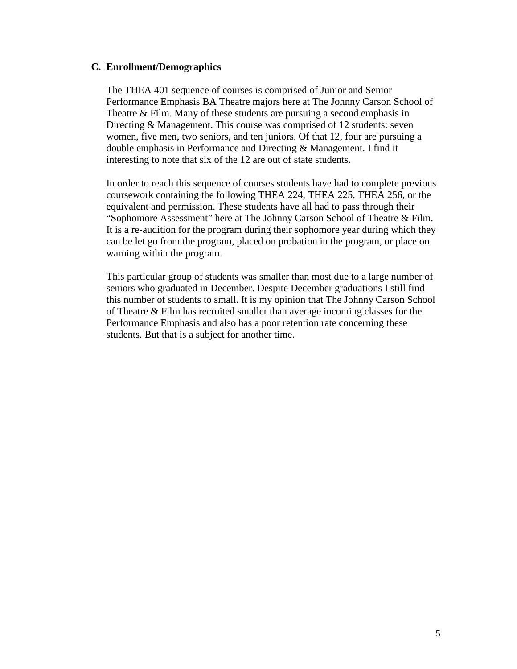#### <span id="page-6-0"></span>**C. Enrollment/Demographics**

The THEA 401 sequence of courses is comprised of Junior and Senior Performance Emphasis BA Theatre majors here at The Johnny Carson School of Theatre & Film. Many of these students are pursuing a second emphasis in Directing & Management. This course was comprised of 12 students: seven women, five men, two seniors, and ten juniors. Of that 12, four are pursuing a double emphasis in Performance and Directing & Management. I find it interesting to note that six of the 12 are out of state students.

In order to reach this sequence of courses students have had to complete previous coursework containing the following THEA 224, THEA 225, THEA 256, or the equivalent and permission. These students have all had to pass through their "Sophomore Assessment" here at The Johnny Carson School of Theatre & Film. It is a re-audition for the program during their sophomore year during which they can be let go from the program, placed on probation in the program, or place on warning within the program.

This particular group of students was smaller than most due to a large number of seniors who graduated in December. Despite December graduations I still find this number of students to small. It is my opinion that The Johnny Carson School of Theatre & Film has recruited smaller than average incoming classes for the Performance Emphasis and also has a poor retention rate concerning these students. But that is a subject for another time.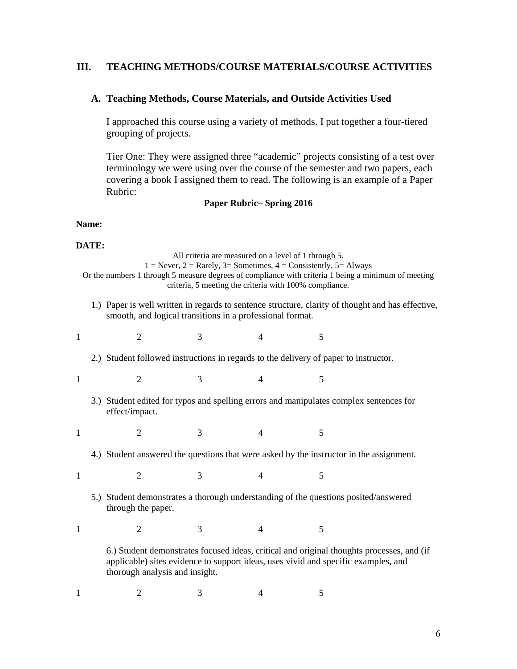### <span id="page-7-0"></span>**III. TEACHING METHODS/COURSE MATERIALS/COURSE ACTIVITIES**

#### <span id="page-7-1"></span>**A. Teaching Methods, Course Materials, and Outside Activities Used**

I approached this course using a variety of methods. I put together a four-tiered grouping of projects.

Tier One: They were assigned three "academic" projects consisting of a test over terminology we were using over the course of the semester and two papers, each covering a book I assigned them to read. The following is an example of a Paper Rubric:

### **Paper Rubric– Spring 2016**

### **Name:**

#### **DATE:**

|              |                                                                                                                                                                                                                          |                                                                                                          |   | All criteria are measured on a level of 1 through 5.<br>$1 =$ Never, $2 =$ Rarely, $3 =$ Sometimes, $4 =$ Consistently, $5 =$ Always |   | Or the numbers 1 through 5 measure degrees of compliance with criteria 1 being a minimum of meeting |  |  |
|--------------|--------------------------------------------------------------------------------------------------------------------------------------------------------------------------------------------------------------------------|----------------------------------------------------------------------------------------------------------|---|--------------------------------------------------------------------------------------------------------------------------------------|---|-----------------------------------------------------------------------------------------------------|--|--|
|              | criteria, 5 meeting the criteria with 100% compliance.<br>1.) Paper is well written in regards to sentence structure, clarity of thought and has effective,<br>smooth, and logical transitions in a professional format. |                                                                                                          |   |                                                                                                                                      |   |                                                                                                     |  |  |
| 1            |                                                                                                                                                                                                                          | $\overline{2}$                                                                                           | 3 | 4                                                                                                                                    | 5 |                                                                                                     |  |  |
|              |                                                                                                                                                                                                                          | 2.) Student followed instructions in regards to the delivery of paper to instructor.                     |   |                                                                                                                                      |   |                                                                                                     |  |  |
| 1            |                                                                                                                                                                                                                          | $\overline{2}$                                                                                           | 3 | $\overline{4}$                                                                                                                       | 5 |                                                                                                     |  |  |
|              |                                                                                                                                                                                                                          | 3.) Student edited for typos and spelling errors and manipulates complex sentences for<br>effect/impact. |   |                                                                                                                                      |   |                                                                                                     |  |  |
| $\mathbf{1}$ |                                                                                                                                                                                                                          | $\overline{2}$                                                                                           | 3 | 4                                                                                                                                    | 5 |                                                                                                     |  |  |
|              |                                                                                                                                                                                                                          | 4.) Student answered the questions that were asked by the instructor in the assignment.                  |   |                                                                                                                                      |   |                                                                                                     |  |  |
| $\mathbf{1}$ |                                                                                                                                                                                                                          | $\overline{2}$                                                                                           | 3 | $\overline{4}$                                                                                                                       | 5 |                                                                                                     |  |  |
|              | 5.) Student demonstrates a thorough understanding of the questions posited/answered<br>through the paper.                                                                                                                |                                                                                                          |   |                                                                                                                                      |   |                                                                                                     |  |  |
| $\mathbf{1}$ |                                                                                                                                                                                                                          | $\overline{2}$                                                                                           | 3 | $\overline{4}$                                                                                                                       | 5 |                                                                                                     |  |  |
|              | 6.) Student demonstrates focused ideas, critical and original thoughts processes, and (if<br>applicable) sites evidence to support ideas, uses vivid and specific examples, and<br>thorough analysis and insight.        |                                                                                                          |   |                                                                                                                                      |   |                                                                                                     |  |  |

 $1 \t 2 \t 3 \t 4 \t 5$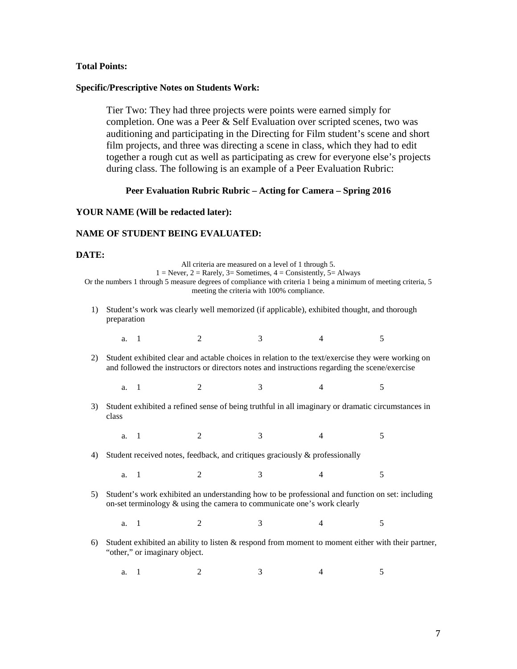#### **Total Points:**

#### **Specific/Prescriptive Notes on Students Work:**

Tier Two: They had three projects were points were earned simply for completion. One was a Peer & Self Evaluation over scripted scenes, two was auditioning and participating in the Directing for Film student's scene and short film projects, and three was directing a scene in class, which they had to edit together a rough cut as well as participating as crew for everyone else's projects during class. The following is an example of a Peer Evaluation Rubric:

#### **Peer Evaluation Rubric Rubric – Acting for Camera – Spring 2016**

#### **YOUR NAME (Will be redacted later):**

#### **NAME OF STUDENT BEING EVALUATED:**

#### **DATE:**

class

| .                                                                                                                                                                                                        |                                                                                                                                                                                                                                                                                                       |  |                             |   |   |  |  |  |
|----------------------------------------------------------------------------------------------------------------------------------------------------------------------------------------------------------|-------------------------------------------------------------------------------------------------------------------------------------------------------------------------------------------------------------------------------------------------------------------------------------------------------|--|-----------------------------|---|---|--|--|--|
|                                                                                                                                                                                                          | All criteria are measured on a level of 1 through 5.<br>$1 =$ Never, $2 =$ Rarely, $3 =$ Sometimes, $4 =$ Consistently, $5 =$ Always<br>Or the numbers 1 through 5 measure degrees of compliance with criteria 1 being a minimum of meeting criteria, 5<br>meeting the criteria with 100% compliance. |  |                             |   |   |  |  |  |
| 1)                                                                                                                                                                                                       | Student's work was clearly well memorized (if applicable), exhibited thought, and thorough<br>preparation                                                                                                                                                                                             |  |                             |   |   |  |  |  |
|                                                                                                                                                                                                          | a. 1                                                                                                                                                                                                                                                                                                  |  | $\mathcal{D}_{\mathcal{L}}$ | 3 | 4 |  |  |  |
| Student exhibited clear and actable choices in relation to the text/exercise they were working on<br>21<br>and followed the instructors or directors notes and instructions regarding the scene/exercise |                                                                                                                                                                                                                                                                                                       |  |                             |   |   |  |  |  |

a. 1 2 3 4 5 3) Student exhibited a refined sense of being truthful in all imaginary or dramatic circumstances in

a. 1 2 3 4 5

4) Student received notes, feedback, and critiques graciously & professionally

a. 1 2 3 4 5

5) Student's work exhibited an understanding how to be professional and function on set: including on-set terminology & using the camera to communicate one's work clearly

a. 1 2 3 4 5

- 6) Student exhibited an ability to listen & respond from moment to moment either with their partner, "other," or imaginary object.
	- a. 1 2 3 4 5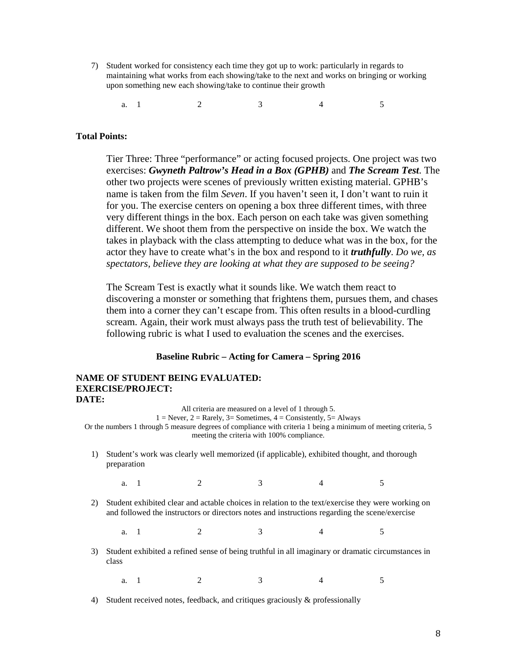- 7) Student worked for consistency each time they got up to work: particularly in regards to maintaining what works from each showing/take to the next and works on bringing or working upon something new each showing/take to continue their growth
	- a. 1 2 3 4 5

#### **Total Points:**

Tier Three: Three "performance" or acting focused projects. One project was two exercises: *Gwyneth Paltrow's Head in a Box (GPHB)* and *The Scream Test*. The other two projects were scenes of previously written existing material. GPHB's name is taken from the film *Seven*. If you haven't seen it, I don't want to ruin it for you. The exercise centers on opening a box three different times, with three very different things in the box. Each person on each take was given something different. We shoot them from the perspective on inside the box. We watch the takes in playback with the class attempting to deduce what was in the box, for the actor they have to create what's in the box and respond to it *truthfully*. *Do we, as spectators, believe they are looking at what they are supposed to be seeing?* 

The Scream Test is exactly what it sounds like. We watch them react to discovering a monster or something that frightens them, pursues them, and chases them into a corner they can't escape from. This often results in a blood-curdling scream. Again, their work must always pass the truth test of believability. The following rubric is what I used to evaluation the scenes and the exercises.

#### **Baseline Rubric – Acting for Camera – Spring 2016**

#### **NAME OF STUDENT BEING EVALUATED: EXERCISE/PROJECT: DATE:**

All criteria are measured on a level of 1 through 5.  $1 =$  Never,  $2 =$  Rarely,  $3 =$  Sometimes,  $4 =$  Consistently,  $5 =$  Always Or the numbers 1 through 5 measure degrees of compliance with criteria 1 being a minimum of meeting criteria, 5 meeting the criteria with 100% compliance. 1) Student's work was clearly well memorized (if applicable), exhibited thought, and thorough preparation a. 1 2 3 4 5 2) Student exhibited clear and actable choices in relation to the text/exercise they were working on and followed the instructors or directors notes and instructions regarding the scene/exercise a. 1 2 3 4 5 3) Student exhibited a refined sense of being truthful in all imaginary or dramatic circumstances in class a. 1 2 3 4 5

4) Student received notes, feedback, and critiques graciously & professionally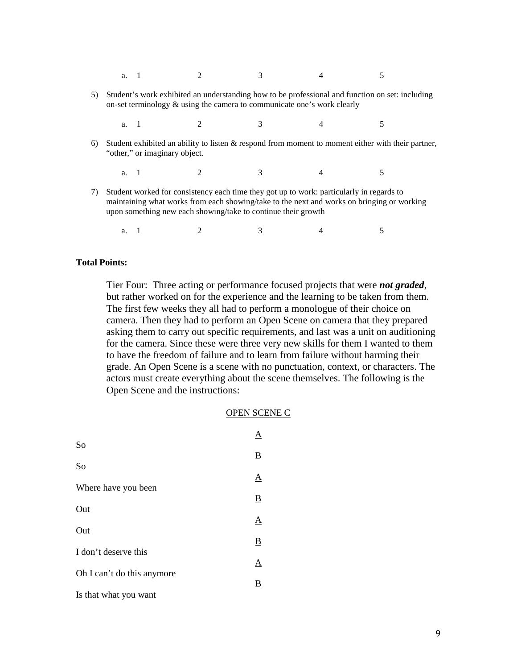- a. 1 2 3 4 5
- 5) Student's work exhibited an understanding how to be professional and function on set: including on-set terminology & using the camera to communicate one's work clearly
	- a. 1 2 3 4 5
- 6) Student exhibited an ability to listen & respond from moment to moment either with their partner, "other," or imaginary object.
	- a. 1 2 3 4 5
- 7) Student worked for consistency each time they got up to work: particularly in regards to maintaining what works from each showing/take to the next and works on bringing or working upon something new each showing/take to continue their growth
	- a. 1 2 3 4 5

#### **Total Points:**

Tier Four: Three acting or performance focused projects that were *not graded*, but rather worked on for the experience and the learning to be taken from them. The first few weeks they all had to perform a monologue of their choice on camera. Then they had to perform an Open Scene on camera that they prepared asking them to carry out specific requirements, and last was a unit on auditioning for the camera. Since these were three very new skills for them I wanted to them to have the freedom of failure and to learn from failure without harming their grade. An Open Scene is a scene with no punctuation, context, or characters. The actors must create everything about the scene themselves. The following is the Open Scene and the instructions:

#### OPEN SCENE C

| So                         |                          |
|----------------------------|--------------------------|
|                            | $\underline{\mathbf{B}}$ |
| So                         | $\Delta$                 |
| Where have you been        | $\underline{\mathbf{B}}$ |
| Out                        | <u>A</u>                 |
| Out                        | $\underline{\mathbf{B}}$ |
| I don't deserve this       |                          |
| Oh I can't do this anymore | Α                        |
| Is that what you want      | $\underline{\mathbf{B}}$ |
|                            |                          |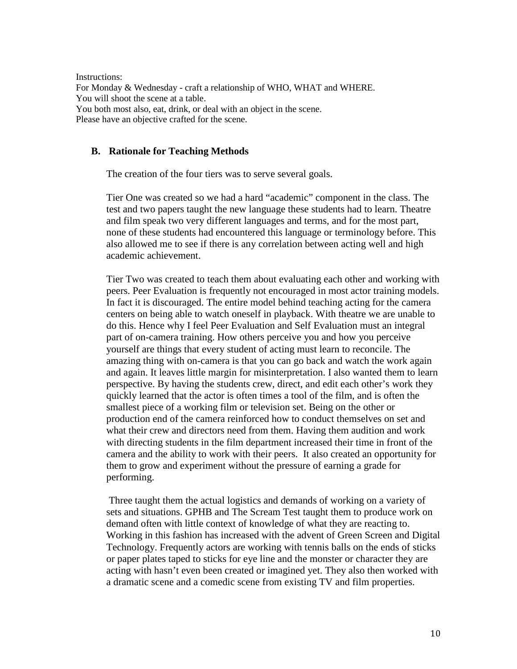Instructions: For Monday & Wednesday - craft a relationship of WHO, WHAT and WHERE. You will shoot the scene at a table. You both most also, eat, drink, or deal with an object in the scene. Please have an objective crafted for the scene.

### <span id="page-11-0"></span>**B. Rationale for Teaching Methods**

The creation of the four tiers was to serve several goals.

Tier One was created so we had a hard "academic" component in the class. The test and two papers taught the new language these students had to learn. Theatre and film speak two very different languages and terms, and for the most part, none of these students had encountered this language or terminology before. This also allowed me to see if there is any correlation between acting well and high academic achievement.

Tier Two was created to teach them about evaluating each other and working with peers. Peer Evaluation is frequently not encouraged in most actor training models. In fact it is discouraged. The entire model behind teaching acting for the camera centers on being able to watch oneself in playback. With theatre we are unable to do this. Hence why I feel Peer Evaluation and Self Evaluation must an integral part of on-camera training. How others perceive you and how you perceive yourself are things that every student of acting must learn to reconcile. The amazing thing with on-camera is that you can go back and watch the work again and again. It leaves little margin for misinterpretation. I also wanted them to learn perspective. By having the students crew, direct, and edit each other's work they quickly learned that the actor is often times a tool of the film, and is often the smallest piece of a working film or television set. Being on the other or production end of the camera reinforced how to conduct themselves on set and what their crew and directors need from them. Having them audition and work with directing students in the film department increased their time in front of the camera and the ability to work with their peers. It also created an opportunity for them to grow and experiment without the pressure of earning a grade for performing.

Three taught them the actual logistics and demands of working on a variety of sets and situations. GPHB and The Scream Test taught them to produce work on demand often with little context of knowledge of what they are reacting to. Working in this fashion has increased with the advent of Green Screen and Digital Technology. Frequently actors are working with tennis balls on the ends of sticks or paper plates taped to sticks for eye line and the monster or character they are acting with hasn't even been created or imagined yet. They also then worked with a dramatic scene and a comedic scene from existing TV and film properties.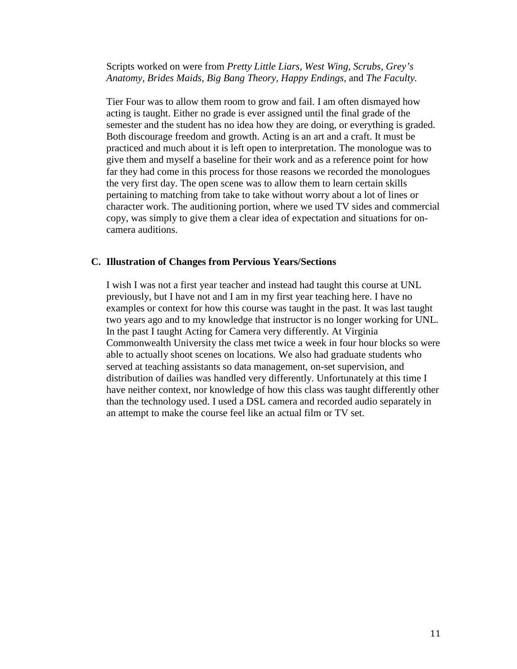### Scripts worked on were from *Pretty Little Liars, West Wing, Scrubs, Grey's Anatomy, Brides Maids, Big Bang Theory, Happy Endings,* and *The Faculty.*

Tier Four was to allow them room to grow and fail. I am often dismayed how acting is taught. Either no grade is ever assigned until the final grade of the semester and the student has no idea how they are doing, or everything is graded. Both discourage freedom and growth. Acting is an art and a craft. It must be practiced and much about it is left open to interpretation. The monologue was to give them and myself a baseline for their work and as a reference point for how far they had come in this process for those reasons we recorded the monologues the very first day. The open scene was to allow them to learn certain skills pertaining to matching from take to take without worry about a lot of lines or character work. The auditioning portion, where we used TV sides and commercial copy, was simply to give them a clear idea of expectation and situations for oncamera auditions.

### <span id="page-12-0"></span>**C. Illustration of Changes from Pervious Years/Sections**

I wish I was not a first year teacher and instead had taught this course at UNL previously, but I have not and I am in my first year teaching here. I have no examples or context for how this course was taught in the past. It was last taught two years ago and to my knowledge that instructor is no longer working for UNL. In the past I taught Acting for Camera very differently. At Virginia Commonwealth University the class met twice a week in four hour blocks so were able to actually shoot scenes on locations. We also had graduate students who served at teaching assistants so data management, on-set supervision, and distribution of dailies was handled very differently. Unfortunately at this time I have neither context, nor knowledge of how this class was taught differently other than the technology used. I used a DSL camera and recorded audio separately in an attempt to make the course feel like an actual film or TV set.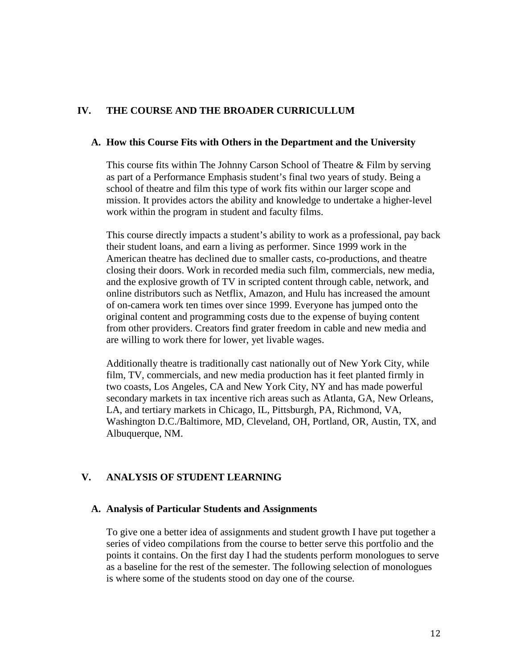### <span id="page-13-0"></span>**IV. THE COURSE AND THE BROADER CURRICULLUM**

#### <span id="page-13-1"></span>**A. How this Course Fits with Others in the Department and the University**

This course fits within The Johnny Carson School of Theatre & Film by serving as part of a Performance Emphasis student's final two years of study. Being a school of theatre and film this type of work fits within our larger scope and mission. It provides actors the ability and knowledge to undertake a higher-level work within the program in student and faculty films.

This course directly impacts a student's ability to work as a professional, pay back their student loans, and earn a living as performer. Since 1999 work in the American theatre has declined due to smaller casts, co-productions, and theatre closing their doors. Work in recorded media such film, commercials, new media, and the explosive growth of TV in scripted content through cable, network, and online distributors such as Netflix, Amazon, and Hulu has increased the amount of on-camera work ten times over since 1999. Everyone has jumped onto the original content and programming costs due to the expense of buying content from other providers. Creators find grater freedom in cable and new media and are willing to work there for lower, yet livable wages.

Additionally theatre is traditionally cast nationally out of New York City, while film, TV, commercials, and new media production has it feet planted firmly in two coasts, Los Angeles, CA and New York City, NY and has made powerful secondary markets in tax incentive rich areas such as Atlanta, GA, New Orleans, LA, and tertiary markets in Chicago, IL, Pittsburgh, PA, Richmond, VA, Washington D.C./Baltimore, MD, Cleveland, OH, Portland, OR, Austin, TX, and Albuquerque, NM.

### <span id="page-13-2"></span>**V. ANALYSIS OF STUDENT LEARNING**

#### <span id="page-13-3"></span>**A. Analysis of Particular Students and Assignments**

To give one a better idea of assignments and student growth I have put together a series of video compilations from the course to better serve this portfolio and the points it contains. On the first day I had the students perform monologues to serve as a baseline for the rest of the semester. The following selection of monologues is where some of the students stood on day one of the course.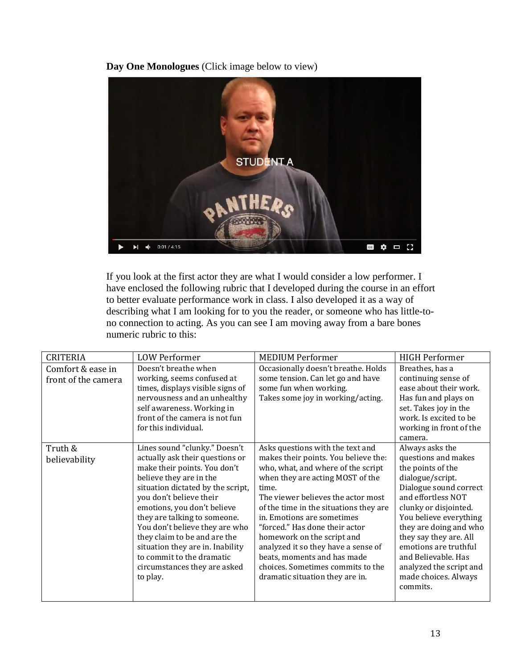**Day One Monologues** [\(Click image below to view\)](https://www.youtube.com/watch?v=ufltBqV8lBU&feature=youtu.be)



If you look at the first actor they are what I would consider a low performer. I have enclosed the following rubric that I developed during the course in an effort to better evaluate performance work in class. I also developed it as a way of describing what I am looking for to you the reader, or someone who has little-tono connection to acting. As you can see I am moving away from a bare bones numeric rubric to this:

| <b>CRITERIA</b>     | <b>LOW Performer</b>              | <b>MEDIUM Performer</b>                | <b>HIGH Performer</b>   |
|---------------------|-----------------------------------|----------------------------------------|-------------------------|
| Comfort & ease in   | Doesn't breathe when              | Occasionally doesn't breathe. Holds    | Breathes, has a         |
| front of the camera | working, seems confused at        | some tension. Can let go and have      | continuing sense of     |
|                     | times, displays visible signs of  | some fun when working.                 | ease about their work.  |
|                     | nervousness and an unhealthy      | Takes some joy in working/acting.      | Has fun and plays on    |
|                     | self awareness. Working in        |                                        | set. Takes joy in the   |
|                     | front of the camera is not fun    |                                        | work. Is excited to be  |
|                     | for this individual.              |                                        | working in front of the |
|                     |                                   |                                        | camera.                 |
| Truth &             | Lines sound "clunky." Doesn't     | Asks questions with the text and       | Always asks the         |
| believability       | actually ask their questions or   | makes their points. You believe the:   | questions and makes     |
|                     | make their points. You don't      | who, what, and where of the script     | the points of the       |
|                     | believe they are in the           | when they are acting MOST of the       | dialogue/script.        |
|                     | situation dictated by the script, | time.                                  | Dialogue sound correct  |
|                     | you don't believe their           | The viewer believes the actor most     | and effortless NOT      |
|                     | emotions, you don't believe       | of the time in the situations they are | clunky or disjointed.   |
|                     | they are talking to someone.      | in. Emotions are sometimes             | You believe everything  |
|                     | You don't believe they are who    | "forced." Has done their actor         | they are doing and who  |
|                     | they claim to be and are the      | homework on the script and             | they say they are. All  |
|                     | situation they are in. Inability  | analyzed it so they have a sense of    | emotions are truthful   |
|                     | to commit to the dramatic         | beats, moments and has made            | and Believable. Has     |
|                     | circumstances they are asked      | choices. Sometimes commits to the      | analyzed the script and |
|                     | to play.                          | dramatic situation they are in.        | made choices. Always    |
|                     |                                   |                                        | commits.                |
|                     |                                   |                                        |                         |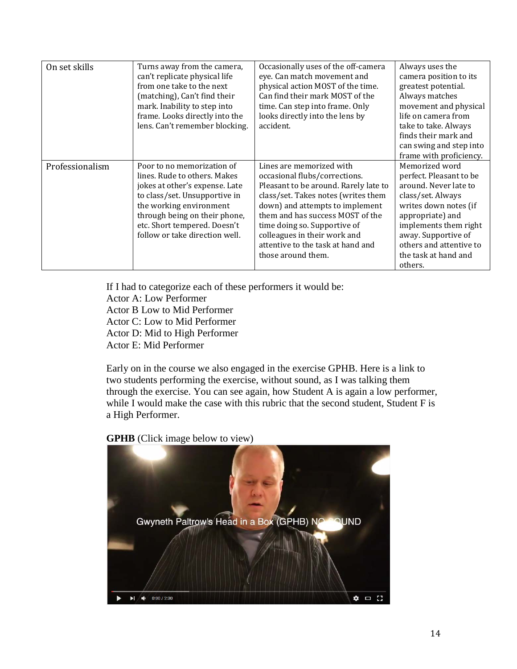| On set skills   | Turns away from the camera,<br>can't replicate physical life<br>from one take to the next<br>(matching), Can't find their<br>mark. Inability to step into<br>frame. Looks directly into the<br>lens. Can't remember blocking.                               | Occasionally uses of the off-camera<br>eye. Can match movement and<br>physical action MOST of the time.<br>Can find their mark MOST of the<br>time. Can step into frame. Only<br>looks directly into the lens by<br>accident.                                                                                                               | Always uses the<br>camera position to its<br>greatest potential.<br>Always matches<br>movement and physical<br>life on camera from<br>take to take. Always<br>finds their mark and<br>can swing and step into<br>frame with proficiency.           |
|-----------------|-------------------------------------------------------------------------------------------------------------------------------------------------------------------------------------------------------------------------------------------------------------|---------------------------------------------------------------------------------------------------------------------------------------------------------------------------------------------------------------------------------------------------------------------------------------------------------------------------------------------|----------------------------------------------------------------------------------------------------------------------------------------------------------------------------------------------------------------------------------------------------|
| Professionalism | Poor to no memorization of<br>lines. Rude to others. Makes<br>jokes at other's expense. Late<br>to class/set. Unsupportive in<br>the working environment<br>through being on their phone,<br>etc. Short tempered. Doesn't<br>follow or take direction well. | Lines are memorized with<br>occasional flubs/corrections.<br>Pleasant to be around. Rarely late to<br>class/set. Takes notes (writes them<br>down) and attempts to implement<br>them and has success MOST of the<br>time doing so. Supportive of<br>colleagues in their work and<br>attentive to the task at hand and<br>those around them. | Memorized word<br>perfect. Pleasant to be<br>around. Never late to<br>class/set. Always<br>writes down notes (if<br>appropriate) and<br>implements them right<br>away. Supportive of<br>others and attentive to<br>the task at hand and<br>others. |

If I had to categorize each of these performers it would be: Actor A: Low Performer Actor B Low to Mid Performer Actor C: Low to Mid Performer Actor D: Mid to High Performer Actor E: Mid Performer

Early on in the course we also engaged in the exercise GPHB. Here is a link to two students performing the exercise, without sound, as I was talking them through the exercise. You can see again, how Student A is again a low performer, while I would make the case with this rubric that the second student, Student F is a High Performer.

**GPHB** [\(Click image below to view\)](https://www.youtube.com/watch?v=-HLulo0i1ps&feature=youtu.be) 

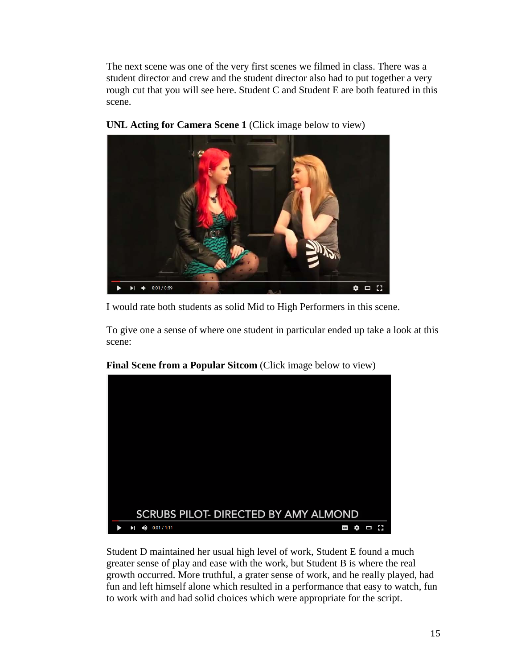The next scene was one of the very first scenes we filmed in class. There was a student director and crew and the student director also had to put together a very rough cut that you will see here. Student C and Student E are both featured in this scene.



**[UNL Acting for Camera Scene 1](https://www.youtube.com/watch?v=taHHHYnJ1ic&feature=youtu.be)** (Click image below to view)

I would rate both students as solid Mid to High Performers in this scene.

To give one a sense of where one student in particular ended up take a look at this scene:



### **[Final Scene from a Popular Sitcom](https://www.youtube.com/watch?v=h9y_8BuyGz4&feature=youtu.be)** (Click image below to view)

Student D maintained her usual high level of work, Student E found a much greater sense of play and ease with the work, but Student B is where the real growth occurred. More truthful, a grater sense of work, and he really played, had fun and left himself alone which resulted in a performance that easy to watch, fun to work with and had solid choices which were appropriate for the script.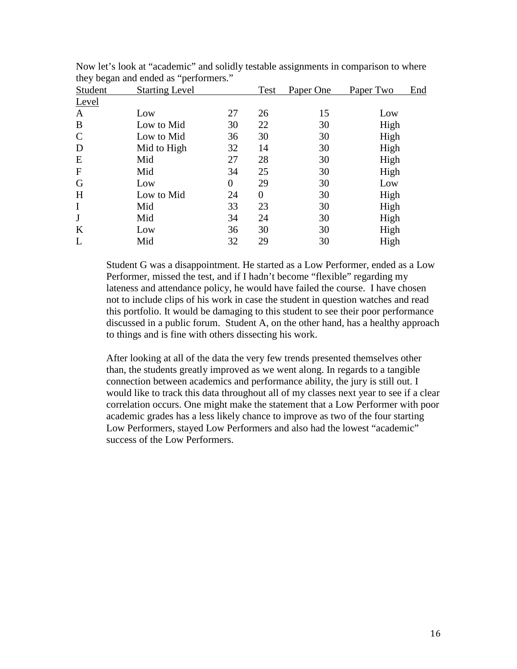| Student       | <b>Starting Level</b> |                | Test | Paper One | Paper Two | End |
|---------------|-----------------------|----------------|------|-----------|-----------|-----|
| Level         |                       |                |      |           |           |     |
| A             | Low                   | 27             | 26   | 15        | Low       |     |
| B             | Low to Mid            | 30             | 22   | 30        | High      |     |
| $\mathcal{C}$ | Low to Mid            | 36             | 30   | 30        | High      |     |
| D             | Mid to High           | 32             | 14   | 30        | High      |     |
| E             | Mid                   | 27             | 28   | 30        | High      |     |
| $\mathbf F$   | Mid                   | 34             | 25   | 30        | High      |     |
| G             | Low                   | $\overline{0}$ | 29   | 30        | Low       |     |
| H             | Low to Mid            | 24             | 0    | 30        | High      |     |
| $\mathbf I$   | Mid                   | 33             | 23   | 30        | High      |     |
| J             | Mid                   | 34             | 24   | 30        | High      |     |
| K             | Low                   | 36             | 30   | 30        | High      |     |
| L             | Mid                   | 32             | 29   | 30        | High      |     |

Now let's look at "academic" and solidly testable assignments in comparison to where they began and ended as "performers."

Student G was a disappointment. He started as a Low Performer, ended as a Low Performer, missed the test, and if I hadn't become "flexible" regarding my lateness and attendance policy, he would have failed the course. I have chosen not to include clips of his work in case the student in question watches and read this portfolio. It would be damaging to this student to see their poor performance discussed in a public forum. Student A, on the other hand, has a healthy approach to things and is fine with others dissecting his work.

After looking at all of the data the very few trends presented themselves other than, the students greatly improved as we went along. In regards to a tangible connection between academics and performance ability, the jury is still out. I would like to track this data throughout all of my classes next year to see if a clear correlation occurs. One might make the statement that a Low Performer with poor academic grades has a less likely chance to improve as two of the four starting Low Performers, stayed Low Performers and also had the lowest "academic" success of the Low Performers.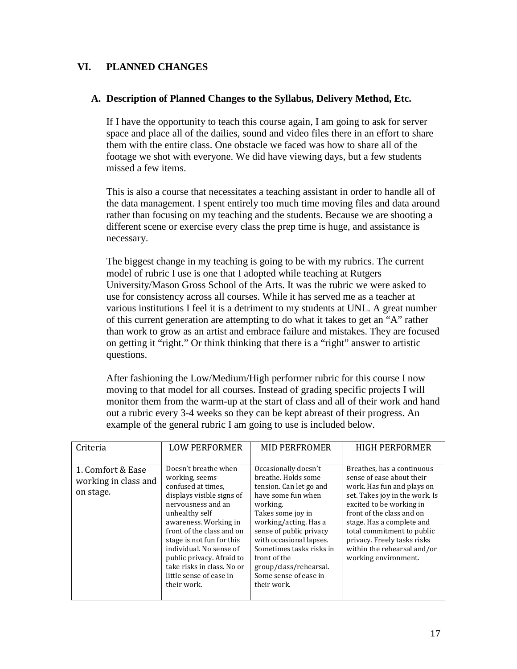### <span id="page-18-0"></span>**VI. PLANNED CHANGES**

### <span id="page-18-1"></span>**A. Description of Planned Changes to the Syllabus, Delivery Method, Etc.**

If I have the opportunity to teach this course again, I am going to ask for server space and place all of the dailies, sound and video files there in an effort to share them with the entire class. One obstacle we faced was how to share all of the footage we shot with everyone. We did have viewing days, but a few students missed a few items.

This is also a course that necessitates a teaching assistant in order to handle all of the data management. I spent entirely too much time moving files and data around rather than focusing on my teaching and the students. Because we are shooting a different scene or exercise every class the prep time is huge, and assistance is necessary.

The biggest change in my teaching is going to be with my rubrics. The current model of rubric I use is one that I adopted while teaching at Rutgers University/Mason Gross School of the Arts. It was the rubric we were asked to use for consistency across all courses. While it has served me as a teacher at various institutions I feel it is a detriment to my students at UNL. A great number of this current generation are attempting to do what it takes to get an "A" rather than work to grow as an artist and embrace failure and mistakes. They are focused on getting it "right." Or think thinking that there is a "right" answer to artistic questions.

After fashioning the Low/Medium/High performer rubric for this course I now moving to that model for all courses. Instead of grading specific projects I will monitor them from the warm-up at the start of class and all of their work and hand out a rubric every 3-4 weeks so they can be kept abreast of their progress. An example of the general rubric I am going to use is included below.

| Criteria                                               | <b>LOW PERFORMER</b>                                                                                                                                                                                                                                                                                                                                 | <b>MID PERFROMER</b>                                                                                                                                                                                                                                                                                                       | <b>HIGH PERFORMER</b>                                                                                                                                                                                                                                                                                                             |
|--------------------------------------------------------|------------------------------------------------------------------------------------------------------------------------------------------------------------------------------------------------------------------------------------------------------------------------------------------------------------------------------------------------------|----------------------------------------------------------------------------------------------------------------------------------------------------------------------------------------------------------------------------------------------------------------------------------------------------------------------------|-----------------------------------------------------------------------------------------------------------------------------------------------------------------------------------------------------------------------------------------------------------------------------------------------------------------------------------|
| 1. Comfort & Ease<br>working in class and<br>on stage. | Doesn't breathe when<br>working, seems<br>confused at times.<br>displays visible signs of<br>nervousness and an<br>unhealthy self<br>awareness. Working in<br>front of the class and on<br>stage is not fun for this<br>individual. No sense of<br>public privacy. Afraid to<br>take risks in class. No or<br>little sense of ease in<br>their work. | Occasionally doesn't<br>breathe. Holds some<br>tension. Can let go and<br>have some fun when<br>working.<br>Takes some joy in<br>working/acting. Has a<br>sense of public privacy<br>with occasional lapses.<br>Sometimes tasks risks in<br>front of the<br>group/class/rehearsal.<br>Some sense of ease in<br>their work. | Breathes, has a continuous<br>sense of ease about their<br>work. Has fun and plays on<br>set. Takes joy in the work. Is<br>excited to be working in<br>front of the class and on<br>stage. Has a complete and<br>total commitment to public<br>privacy. Freely tasks risks<br>within the rehearsal and/or<br>working environment. |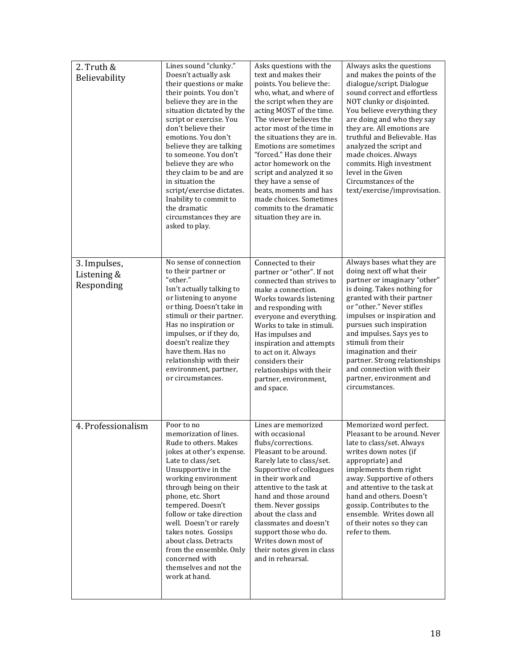| 2. Truth &<br>Believability               | Lines sound "clunky."<br>Doesn't actually ask<br>their questions or make<br>their points. You don't<br>believe they are in the<br>situation dictated by the<br>script or exercise. You<br>don't believe their<br>emotions. You don't<br>believe they are talking<br>to someone. You don't<br>believe they are who<br>they claim to be and are<br>in situation the<br>script/exercise dictates.<br>Inability to commit to<br>the dramatic<br>circumstances they are<br>asked to play. | Asks questions with the<br>text and makes their<br>points. You believe the:<br>who, what, and where of<br>the script when they are<br>acting MOST of the time.<br>The viewer believes the<br>actor most of the time in<br>the situations they are in.<br>Emotions are sometimes<br>"forced." Has done their<br>actor homework on the<br>script and analyzed it so<br>they have a sense of<br>beats, moments and has<br>made choices. Sometimes<br>commits to the dramatic<br>situation they are in. | Always asks the questions<br>and makes the points of the<br>dialogue/script. Dialogue<br>sound correct and effortless<br>NOT clunky or disjointed.<br>You believe everything they<br>are doing and who they say<br>they are. All emotions are<br>truthful and Believable. Has<br>analyzed the script and<br>made choices. Always<br>commits. High investment<br>level in the Given<br>Circumstances of the<br>text/exercise/improvisation. |
|-------------------------------------------|--------------------------------------------------------------------------------------------------------------------------------------------------------------------------------------------------------------------------------------------------------------------------------------------------------------------------------------------------------------------------------------------------------------------------------------------------------------------------------------|-----------------------------------------------------------------------------------------------------------------------------------------------------------------------------------------------------------------------------------------------------------------------------------------------------------------------------------------------------------------------------------------------------------------------------------------------------------------------------------------------------|--------------------------------------------------------------------------------------------------------------------------------------------------------------------------------------------------------------------------------------------------------------------------------------------------------------------------------------------------------------------------------------------------------------------------------------------|
| 3. Impulses,<br>Listening &<br>Responding | No sense of connection<br>to their partner or<br>"other."<br>Isn't actually talking to<br>or listening to anyone<br>or thing. Doesn't take in<br>stimuli or their partner.<br>Has no inspiration or<br>impulses, or if they do,<br>doesn't realize they<br>have them. Has no<br>relationship with their<br>environment, partner,<br>or circumstances.                                                                                                                                | Connected to their<br>partner or "other". If not<br>connected than strives to<br>make a connection.<br>Works towards listening<br>and responding with<br>everyone and everything.<br>Works to take in stimuli.<br>Has impulses and<br>inspiration and attempts<br>to act on it. Always<br>considers their<br>relationships with their<br>partner, environment,<br>and space.                                                                                                                        | Always bases what they are<br>doing next off what their<br>partner or imaginary "other"<br>is doing. Takes nothing for<br>granted with their partner<br>or "other." Never stifles<br>impulses or inspiration and<br>pursues such inspiration<br>and impulses. Says yes to<br>stimuli from their<br>imagination and their<br>partner. Strong relationships<br>and connection with their<br>partner, environment and<br>circumstances.       |
| 4. Professionalism                        | Poor to no<br>memorization of lines.<br>Rude to others. Makes<br>jokes at other's expense.<br>Late to class/set.<br>Unsupportive in the<br>working environment<br>through being on their<br>phone, etc. Short<br>tempered. Doesn't<br>follow or take direction<br>well. Doesn't or rarely<br>takes notes. Gossips<br>about class. Detracts<br>from the ensemble. Only<br>concerned with<br>themselves and not the<br>work at hand.                                                   | Lines are memorized<br>with occasional<br>flubs/corrections.<br>Pleasant to be around.<br>Rarely late to class/set.<br>Supportive of colleagues<br>in their work and<br>attentive to the task at<br>hand and those around<br>them. Never gossips<br>about the class and<br>classmates and doesn't<br>support those who do.<br>Writes down most of<br>their notes given in class<br>and in rehearsal.                                                                                                | Memorized word perfect.<br>Pleasant to be around. Never<br>late to class/set. Always<br>writes down notes (if<br>appropriate) and<br>implements them right<br>away. Supportive of others<br>and attentive to the task at<br>hand and others. Doesn't<br>gossip. Contributes to the<br>ensemble. Writes down all<br>of their notes so they can<br>refer to them.                                                                            |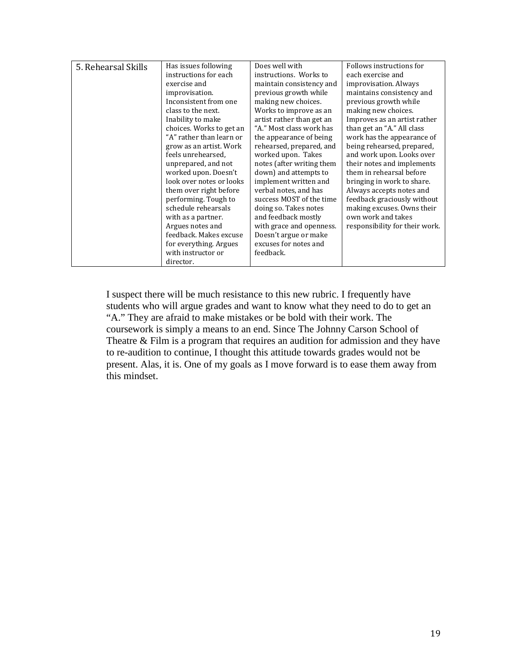| 5. Rehearsal Skills | Has issues following     | Does well with            | Follows instructions for       |
|---------------------|--------------------------|---------------------------|--------------------------------|
|                     | instructions for each    | instructions. Works to    | each exercise and              |
|                     | exercise and             | maintain consistency and  | improvisation. Always          |
|                     | improvisation.           | previous growth while     | maintains consistency and      |
|                     | Inconsistent from one    | making new choices.       | previous growth while          |
|                     | class to the next.       | Works to improve as an    | making new choices.            |
|                     | Inability to make        | artist rather than get an | Improves as an artist rather   |
|                     | choices. Works to get an | "A." Most class work has  | than get an "A." All class     |
|                     | "A" rather than learn or | the appearance of being   | work has the appearance of     |
|                     | grow as an artist. Work  | rehearsed, prepared, and  | being rehearsed, prepared,     |
|                     | feels unrehearsed,       | worked upon. Takes        | and work upon. Looks over      |
|                     | unprepared, and not      | notes (after writing them | their notes and implements     |
|                     | worked upon. Doesn't     | down) and attempts to     | them in rehearsal before       |
|                     | look over notes or looks | implement written and     | bringing in work to share.     |
|                     | them over right before   | verbal notes, and has     | Always accepts notes and       |
|                     | performing. Tough to     | success MOST of the time  | feedback graciously without    |
|                     | schedule rehearsals      | doing so. Takes notes     | making excuses. Owns their     |
|                     | with as a partner.       | and feedback mostly       | own work and takes             |
|                     | Argues notes and         | with grace and openness.  | responsibility for their work. |
|                     | feedback. Makes excuse   | Doesn't argue or make     |                                |
|                     | for everything. Argues   | excuses for notes and     |                                |
|                     | with instructor or       | feedback.                 |                                |
|                     | director.                |                           |                                |

I suspect there will be much resistance to this new rubric. I frequently have students who will argue grades and want to know what they need to do to get an "A." They are afraid to make mistakes or be bold with their work. The coursework is simply a means to an end. Since The Johnny Carson School of Theatre & Film is a program that requires an audition for admission and they have to re-audition to continue, I thought this attitude towards grades would not be present. Alas, it is. One of my goals as I move forward is to ease them away from this mindset.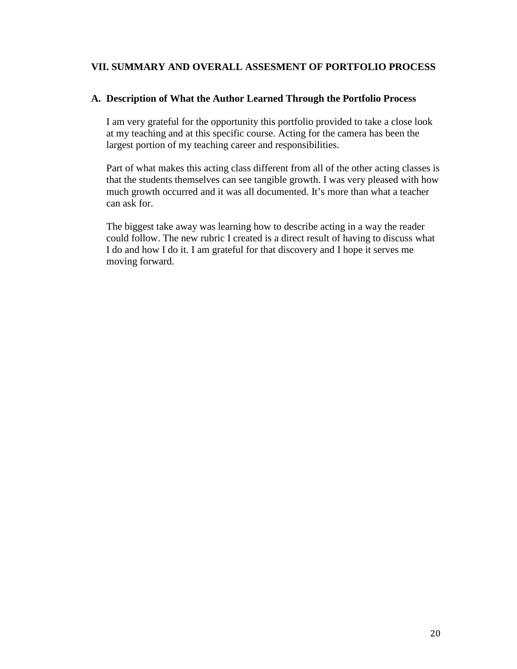### <span id="page-21-0"></span>**VII. SUMMARY AND OVERALL ASSESMENT OF PORTFOLIO PROCESS**

### <span id="page-21-1"></span>**A. Description of What the Author Learned Through the Portfolio Process**

I am very grateful for the opportunity this portfolio provided to take a close look at my teaching and at this specific course. Acting for the camera has been the largest portion of my teaching career and responsibilities.

Part of what makes this acting class different from all of the other acting classes is that the students themselves can see tangible growth. I was very pleased with how much growth occurred and it was all documented. It's more than what a teacher can ask for.

The biggest take away was learning how to describe acting in a way the reader could follow. The new rubric I created is a direct result of having to discuss what I do and how I do it. I am grateful for that discovery and I hope it serves me moving forward.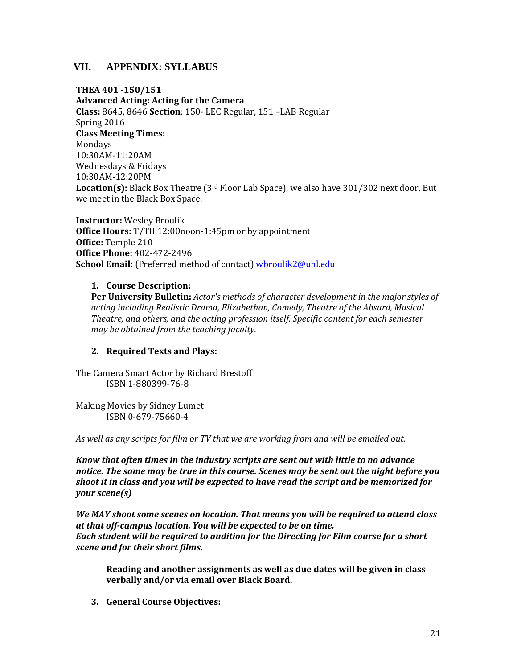### <span id="page-22-1"></span><span id="page-22-0"></span>**VII. APPENDIX: SYLLABUS**

**THEA 401 -150/151** 

**Advanced Acting: Acting for the Camera Class:** 8645, 8646 **Section**: 150- LEC Regular, 151 –LAB Regular Spring 2016 **Class Meeting Times:**  Mondays 10:30AM-11:20AM Wednesdays & Fridays 10:30AM-12:20PM **Location(s):** Black Box Theatre (3rd Floor Lab Space), we also have 301/302 next door. But we meet in the Black Box Space.

**Instructor:** Wesley Broulik **Office Hours:** T/TH 12:00noon-1:45pm or by appointment **Office:** Temple 210 **Office Phone:** 402-472-2496 School Email: (Preferred method of contact[\) wbroulik2@unl.edu](mailto:wbroulik2@unl.edu)

#### **1. Course Description:**

**Per University Bulletin:** *Actor's methods of character development in the major styles of acting including Realistic Drama, Elizabethan, Comedy, Theatre of the Absurd, Musical Theatre, and others, and the acting profession itself. Specific content for each semester may be obtained from the teaching faculty.*

### **2. Required Texts and Plays:**

The Camera Smart Actor by Richard Brestoff ISBN 1-880399-76-8

Making Movies by Sidney Lumet ISBN 0-679-75660-4

*As well as any scripts for film or TV that we are working from and will be emailed out.*

*Know that often times in the industry scripts are sent out with little to no advance notice. The same may be true in this course. Scenes may be sent out the night before you shoot it in class and you will be expected to have read the script and be memorized for your scene(s)*

*We MAY shoot some scenes on location. That means you will be required to attend class at that off-campus location. You will be expected to be on time. Each student will be required to audition for the Directing for Film course for a short scene and for their short films.* 

**Reading and another assignments as well as due dates will be given in class verbally and/or via email over Black Board.**

**3. General Course Objectives:**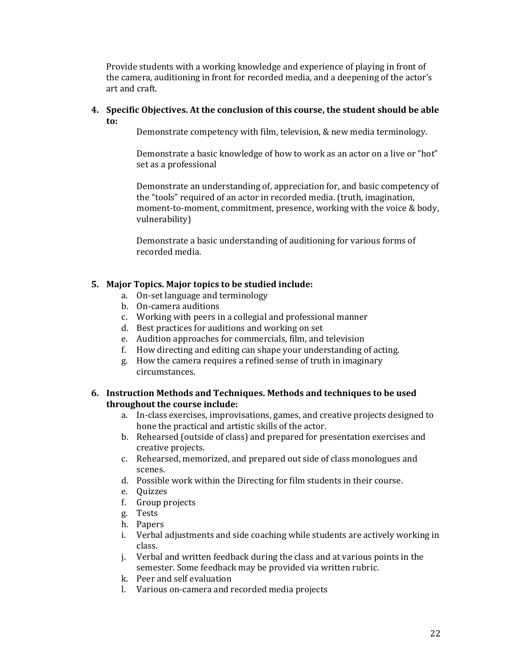Provide students with a working knowledge and experience of playing in front of the camera, auditioning in front for recorded media, and a deepening of the actor's art and craft.

#### **4. Specific Objectives. At the conclusion of this course, the student should be able to:**

Demonstrate competency with film, television, & new media terminology.

Demonstrate a basic knowledge of how to work as an actor on a live or "hot" set as a professional

Demonstrate an understanding of, appreciation for, and basic competency of the "tools" required of an actor in recorded media. (truth, imagination, moment-to-moment, commitment, presence, working with the voice & body, vulnerability)

Demonstrate a basic understanding of auditioning for various forms of recorded media.

### **5. Major Topics. Major topics to be studied include:**

- a. On-set language and terminology
- b. On-camera auditions
- c. Working with peers in a collegial and professional manner
- d. Best practices for auditions and working on set
- e. Audition approaches for commercials, film, and television
- f. How directing and editing can shape your understanding of acting.
- g. How the camera requires a refined sense of truth in imaginary circumstances.

#### **6. Instruction Methods and Techniques. Methods and techniques to be used throughout the course include:**

- a. In-class exercises, improvisations, games, and creative projects designed to hone the practical and artistic skills of the actor.
- b. Rehearsed (outside of class) and prepared for presentation exercises and creative projects.
- c. Rehearsed, memorized, and prepared out side of class monologues and scenes.
- d. Possible work within the Directing for film students in their course.
- e. Quizzes
- f. Group projects
- g. Tests
- h. Papers
- i. Verbal adjustments and side coaching while students are actively working in class.
- j. Verbal and written feedback during the class and at various points in the semester. Some feedback may be provided via written rubric.
- k. Peer and self evaluation
- l. Various on-camera and recorded media projects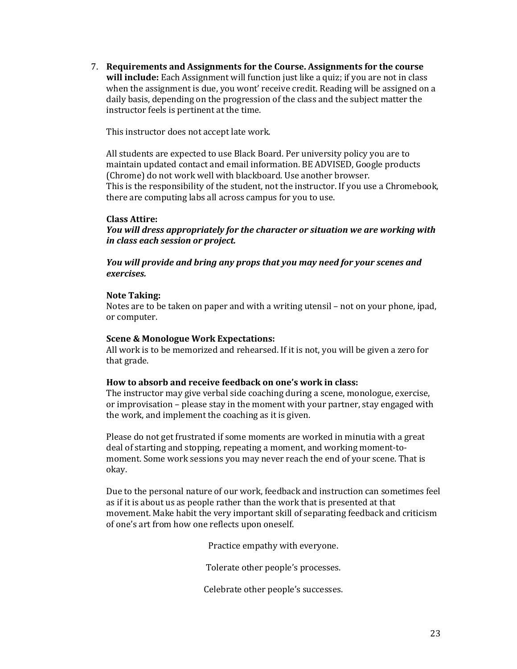7. **Requirements and Assignments for the Course. Assignments for the course will include:** Each Assignment will function just like a quiz; if you are not in class when the assignment is due, you wont' receive credit. Reading will be assigned on a daily basis, depending on the progression of the class and the subject matter the instructor feels is pertinent at the time.

This instructor does not accept late work.

All students are expected to use Black Board. Per university policy you are to maintain updated contact and email information. BE ADVISED, Google products (Chrome) do not work well with blackboard. Use another browser. This is the responsibility of the student, not the instructor. If you use a Chromebook, there are computing labs all across campus for you to use.

#### **Class Attire:**

*You will dress appropriately for the character or situation we are working with in class each session or project.*

*You will provide and bring any props that you may need for your scenes and exercises.*

#### **Note Taking:**

Notes are to be taken on paper and with a writing utensil – not on your phone, ipad, or computer.

#### **Scene & Monologue Work Expectations:**

All work is to be memorized and rehearsed. If it is not, you will be given a zero for that grade.

#### **How to absorb and receive feedback on one's work in class:**

The instructor may give verbal side coaching during a scene, monologue, exercise, or improvisation – please stay in the moment with your partner, stay engaged with the work, and implement the coaching as it is given.

Please do not get frustrated if some moments are worked in minutia with a great deal of starting and stopping, repeating a moment, and working moment-tomoment. Some work sessions you may never reach the end of your scene. That is okay.

Due to the personal nature of our work, feedback and instruction can sometimes feel as if it is about us as people rather than the work that is presented at that movement. Make habit the very important skill of separating feedback and criticism of one's art from how one reflects upon oneself.

Practice empathy with everyone.

Tolerate other people's processes.

Celebrate other people's successes.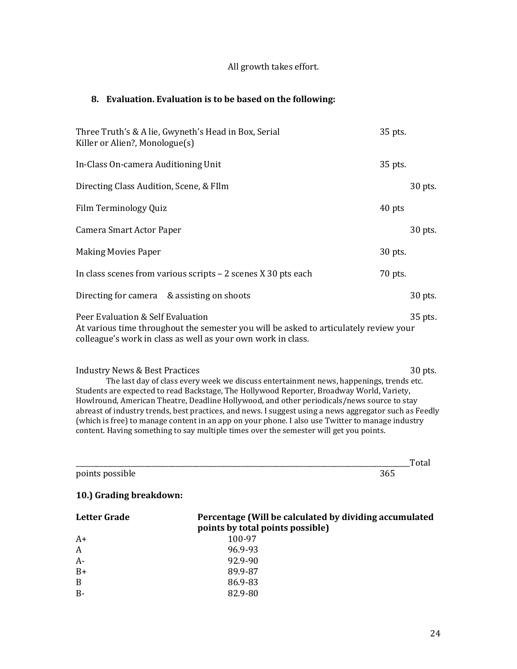### All growth takes effort.

#### **8. Evaluation. Evaluation is to be based on the following:**

| Three Truth's & A lie, Gwyneth's Head in Box, Serial<br>Killer or Alien?, Monologue(s)                                                                                                     | 35 pts. |         |
|--------------------------------------------------------------------------------------------------------------------------------------------------------------------------------------------|---------|---------|
| In-Class On-camera Auditioning Unit                                                                                                                                                        | 35 pts. |         |
| Directing Class Audition, Scene, & FIlm                                                                                                                                                    |         | 30 pts. |
| Film Terminology Quiz                                                                                                                                                                      | 40 pts  |         |
| Camera Smart Actor Paper                                                                                                                                                                   |         | 30 pts. |
| <b>Making Movies Paper</b>                                                                                                                                                                 | 30 pts. |         |
| In class scenes from various scripts $-2$ scenes X 30 pts each                                                                                                                             | 70 pts. |         |
| Directing for camera & assisting on shoots                                                                                                                                                 |         | 30 pts. |
| Peer Evaluation & Self Evaluation<br>At various time throughout the semester you will be asked to articulately review your<br>colleague's work in class as well as your own work in class. |         | 35 pts. |
| <b>Industry News &amp; Best Practices</b>                                                                                                                                                  |         | 30 pts. |

The last day of class every week we discuss entertainment news, happenings, trends etc. Students are expected to read Backstage, The Hollywood Reporter, Broadway World, Variety, Howlround, American Theatre, Deadline Hollywood, and other periodicals/news source to stay abreast of industry trends, best practices, and news. I suggest using a news aggregator such as Feedly (which is free) to manage content in an app on your phone. I also use Twitter to manage industry content. Having something to say multiple times over the semester will get you points.

|                         |                                                        | Total |
|-------------------------|--------------------------------------------------------|-------|
| points possible         | 365                                                    |       |
| 10.) Grading breakdown: |                                                        |       |
| $L = L = L \cdot L$     | Devenises (Will be coloulated by dividing accumulated) |       |

| Letter Grade   | Percentage (Will be calculated by dividing accumulated<br>points by total points possible) |
|----------------|--------------------------------------------------------------------------------------------|
| $A+$           | 100-97                                                                                     |
| $\overline{A}$ | 96.9-93                                                                                    |
| $A-$           | 92.9-90                                                                                    |
| $B+$           | 89.9-87                                                                                    |
| B              | 86.9-83                                                                                    |
| $B -$          | 82.9-80                                                                                    |
|                |                                                                                            |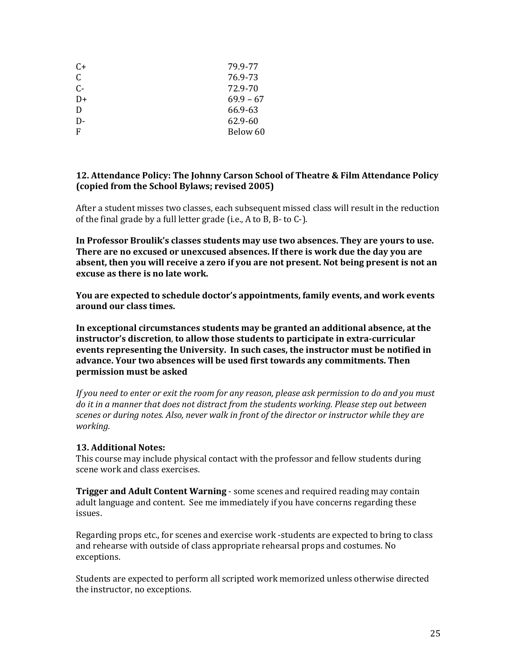| C+           | 79.9-77     |
|--------------|-------------|
| $\mathsf{C}$ | 76.9-73     |
| $C -$        | 72.9-70     |
| D+           | $69.9 - 67$ |
| D            | 66.9-63     |
| D-           | 62.9-60     |
| F            | Below 60    |
|              |             |

#### **12. Attendance Policy: The Johnny Carson School of Theatre & Film Attendance Policy (copied from the School Bylaws; revised 2005)**

After a student misses two classes, each subsequent missed class will result in the reduction of the final grade by a full letter grade (i.e., A to B, B- to C-).

**In Professor Broulik's classes students may use two absences. They are yours to use. There are no excused or unexcused absences. If there is work due the day you are absent, then you will receive a zero if you are not present. Not being present is not an excuse as there is no late work.**

**You are expected to schedule doctor's appointments, family events, and work events around our class times.**

**In exceptional circumstances students may be granted an additional absence, at the instructor's discretion**, **to allow those students to participate in extra-curricular events representing the University. In such cases, the instructor must be notified in advance. Your two absences will be used first towards any commitments. Then permission must be asked**

*If you need to enter or exit the room for any reason, please ask permission to do and you must do it in a manner that does not distract from the students working. Please step out between scenes or during notes. Also, never walk in front of the director or instructor while they are working.*

### **13. Additional Notes:**

This course may include physical contact with the professor and fellow students during scene work and class exercises.

**Trigger and Adult Content Warning** - some scenes and required reading may contain adult language and content. See me immediately if you have concerns regarding these issues.

Regarding props etc., for scenes and exercise work -students are expected to bring to class and rehearse with outside of class appropriate rehearsal props and costumes. No exceptions.

Students are expected to perform all scripted work memorized unless otherwise directed the instructor, no exceptions.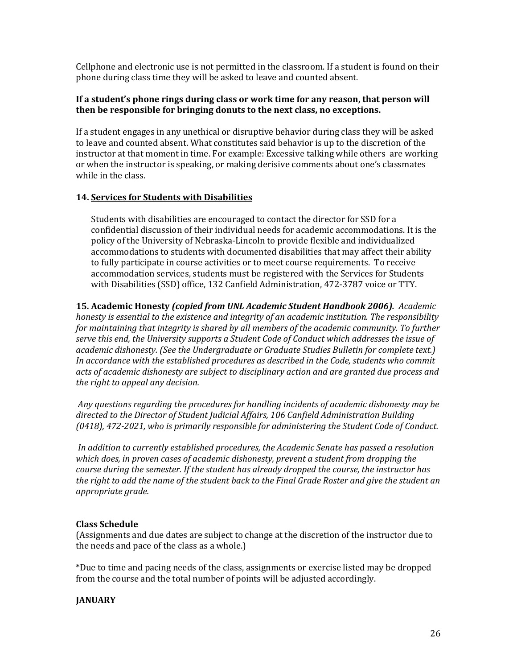Cellphone and electronic use is not permitted in the classroom. If a student is found on their phone during class time they will be asked to leave and counted absent.

### **If a student's phone rings during class or work time for any reason, that person will then be responsible for bringing donuts to the next class, no exceptions.**

If a student engages in any unethical or disruptive behavior during class they will be asked to leave and counted absent. What constitutes said behavior is up to the discretion of the instructor at that moment in time. For example: Excessive talking while others are working or when the instructor is speaking, or making derisive comments about one's classmates while in the class.

### **14. Services for Students with Disabilities**

Students with disabilities are encouraged to contact the director for SSD for a confidential discussion of their individual needs for academic accommodations. It is the policy of the University of Nebraska-Lincoln to provide flexible and individualized accommodations to students with documented disabilities that may affect their ability to fully participate in course activities or to meet course requirements. To receive accommodation services, students must be registered with the Services for Students with Disabilities (SSD) office, 132 Canfield Administration, 472-3787 voice or TTY.

**15. Academic Honesty** *(copied from UNL Academic Student Handbook 2006). Academic honesty is essential to the existence and integrity of an academic institution. The responsibility for maintaining that integrity is shared by all members of the academic community. To further serve this end, the University supports a Student Code of Conduct which addresses the issue of academic dishonesty. (See the Undergraduate or Graduate Studies Bulletin for complete text.) In accordance with the established procedures as described in the Code, students who commit acts of academic dishonesty are subject to disciplinary action and are granted due process and the right to appeal any decision.* 

*Any questions regarding the procedures for handling incidents of academic dishonesty may be directed to the Director of Student Judicial Affairs, 106 Canfield Administration Building (0418), 472-2021, who is primarily responsible for administering the Student Code of Conduct.* 

*In addition to currently established procedures, the Academic Senate has passed a resolution which does, in proven cases of academic dishonesty, prevent a student from dropping the course during the semester. If the student has already dropped the course, the instructor has the right to add the name of the student back to the Final Grade Roster and give the student an appropriate grade.*

### **Class Schedule**

(Assignments and due dates are subject to change at the discretion of the instructor due to the needs and pace of the class as a whole.)

\*Due to time and pacing needs of the class, assignments or exercise listed may be dropped from the course and the total number of points will be adjusted accordingly.

### **JANUARY**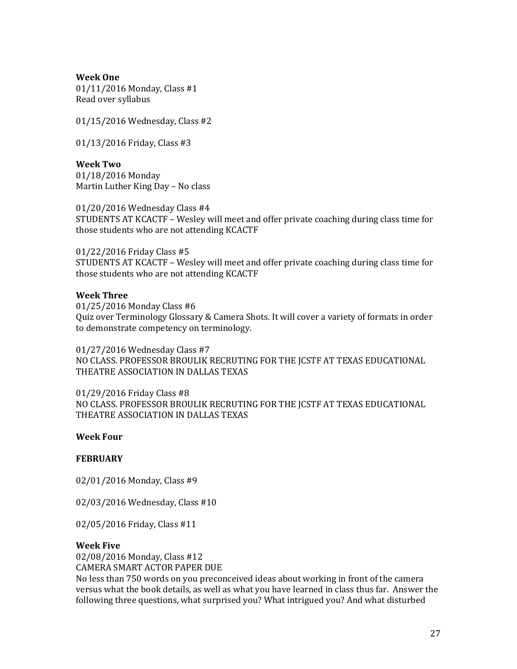**Week One**

01/11/2016 Monday, Class #1 Read over syllabus

01/15/2016 Wednesday, Class #2

01/13/2016 Friday, Class #3

**Week Two** 01/18/2016 Monday Martin Luther King Day – No class

01/20/2016 Wednesday Class #4 STUDENTS AT KCACTF – Wesley will meet and offer private coaching during class time for those students who are not attending KCACTF

01/22/2016 Friday Class #5 STUDENTS AT KCACTF – Wesley will meet and offer private coaching during class time for those students who are not attending KCACTF

#### **Week Three**

01/25/2016 Monday Class #6 Quiz over Terminology Glossary & Camera Shots. It will cover a variety of formats in order to demonstrate competency on terminology.

01/27/2016 Wednesday Class #7 NO CLASS. PROFESSOR BROULIK RECRUTING FOR THE JCSTF AT TEXAS EDUCATIONAL THEATRE ASSOCIATION IN DALLAS TEXAS

01/29/2016 Friday Class #8 NO CLASS. PROFESSOR BROULIK RECRUTING FOR THE JCSTF AT TEXAS EDUCATIONAL THEATRE ASSOCIATION IN DALLAS TEXAS

#### **Week Four**

#### **FEBRUARY**

02/01/2016 Monday, Class #9

02/03/2016 Wednesday, Class #10

02/05/2016 Friday, Class #11

#### **Week Five**

02/08/2016 Monday, Class #12 CAMERA SMART ACTOR PAPER DUE No less than 750 words on you preconceived ideas about working in front of the camera versus what the book details, as well as what you have learned in class thus far. Answer the following three questions, what surprised you? What intrigued you? And what disturbed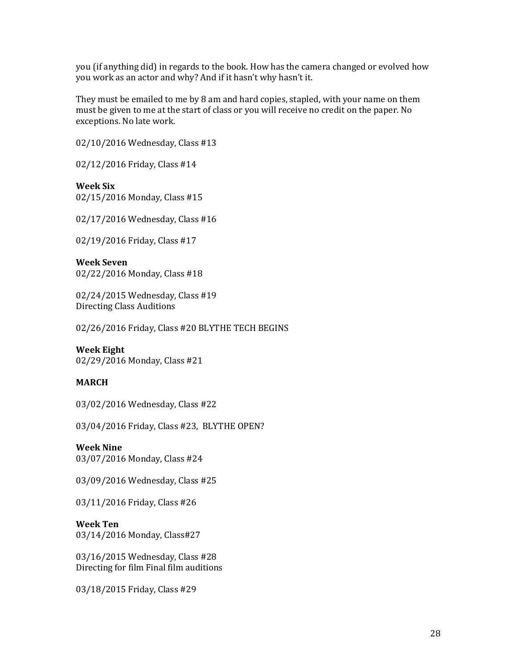you (if anything did) in regards to the book. How has the camera changed or evolved how you work as an actor and why? And if it hasn't why hasn't it.

They must be emailed to me by 8 am and hard copies, stapled, with your name on them must be given to me at the start of class or you will receive no credit on the paper. No exceptions. No late work.

02/10/2016 Wednesday, Class #13

02/12/2016 Friday, Class #14

**Week Six** 02/15/2016 Monday, Class #15

02/17/2016 Wednesday, Class #16

02/19/2016 Friday, Class #17

**Week Seven** 02/22/2016 Monday, Class #18

02/24/2015 Wednesday, Class #19 Directing Class Auditions

02/26/2016 Friday, Class #20 BLYTHE TECH BEGINS

#### **Week Eight**

02/29/2016 Monday, Class #21

#### **MARCH**

03/02/2016 Wednesday, Class #22

03/04/2016 Friday, Class #23, BLYTHE OPEN?

#### **Week Nine**

03/07/2016 Monday, Class #24

03/09/2016 Wednesday, Class #25

03/11/2016 Friday, Class #26

#### **Week Ten**

03/14/2016 Monday, Class#27

03/16/2015 Wednesday, Class #28 Directing for film Final film auditions

03/18/2015 Friday, Class #29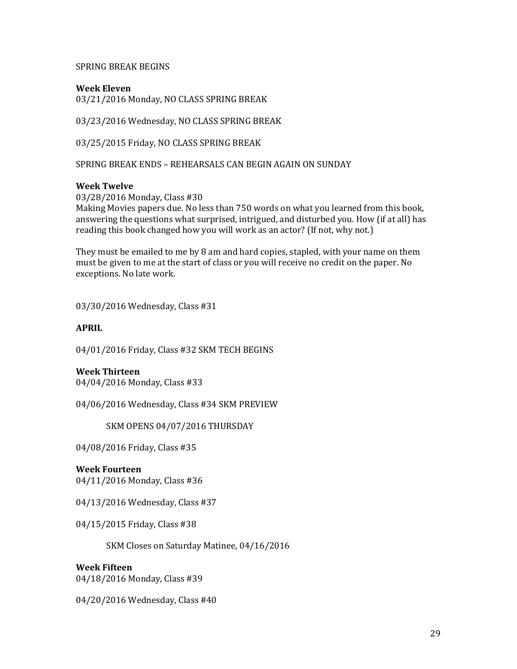#### SPRING BREAK BEGINS

### **Week Eleven**

03/21/2016 Monday, NO CLASS SPRING BREAK

03/23/2016 Wednesday, NO CLASS SPRING BREAK

03/25/2015 Friday, NO CLASS SPRING BREAK

SPRING BREAK ENDS – REHEARSALS CAN BEGIN AGAIN ON SUNDAY

#### **Week Twelve**

03/28/2016 Monday, Class #30 Making Movies papers due. No less than 750 words on what you learned from this book, answering the questions what surprised, intrigued, and disturbed you. How (if at all) has reading this book changed how you will work as an actor? (If not, why not.)

They must be emailed to me by 8 am and hard copies, stapled, with your name on them must be given to me at the start of class or you will receive no credit on the paper. No exceptions. No late work.

03/30/2016 Wednesday, Class #31

#### **APRIL**

04/01/2016 Friday, Class #32 SKM TECH BEGINS

**Week Thirteen**

04/04/2016 Monday, Class #33

04/06/2016 Wednesday, Class #34 SKM PREVIEW

SKM OPENS 04/07/2016 THURSDAY

04/08/2016 Friday, Class #35

#### **Week Fourteen**

04/11/2016 Monday, Class #36

04/13/2016 Wednesday, Class #37

04/15/2015 Friday, Class #38

SKM Closes on Saturday Matinee, 04/16/2016

### **Week Fifteen**

04/18/2016 Monday, Class #39

04/20/2016 Wednesday, Class #40